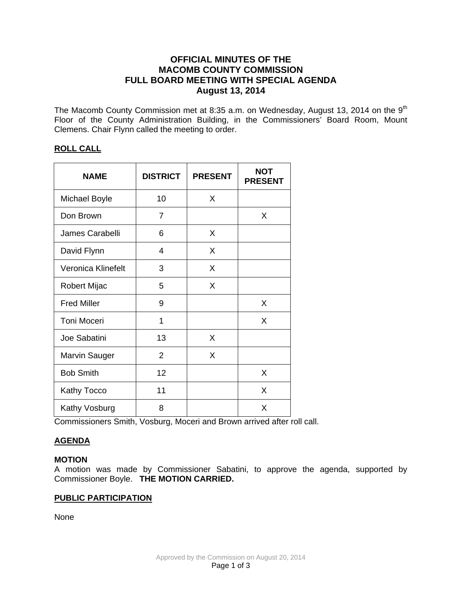# **OFFICIAL MINUTES OF THE MACOMB COUNTY COMMISSION FULL BOARD MEETING WITH SPECIAL AGENDA August 13, 2014**

The Macomb County Commission met at 8:35 a.m. on Wednesday, August 13, 2014 on the  $9<sup>th</sup>$ Floor of the County Administration Building, in the Commissioners' Board Room, Mount Clemens. Chair Flynn called the meeting to order.

# **ROLL CALL**

| <b>NAME</b>          | <b>DISTRICT</b> | <b>PRESENT</b> | <b>NOT</b><br><b>PRESENT</b> |
|----------------------|-----------------|----------------|------------------------------|
| <b>Michael Boyle</b> | 10              | X              |                              |
| Don Brown            | $\overline{7}$  |                | X                            |
| James Carabelli      | 6               | X              |                              |
| David Flynn          | 4               | X              |                              |
| Veronica Klinefelt   | 3               | X              |                              |
| Robert Mijac         | 5               | X              |                              |
| <b>Fred Miller</b>   | 9               |                | X                            |
| <b>Toni Moceri</b>   | 1               |                | X                            |
| Joe Sabatini         | 13              | X              |                              |
| <b>Marvin Sauger</b> | $\overline{2}$  | X              |                              |
| <b>Bob Smith</b>     | 12              |                | X                            |
| Kathy Tocco          | 11              |                | X                            |
| Kathy Vosburg        | 8               |                | X                            |

Commissioners Smith, Vosburg, Moceri and Brown arrived after roll call.

# **AGENDA**

# **MOTION**

A motion was made by Commissioner Sabatini, to approve the agenda, supported by Commissioner Boyle. **THE MOTION CARRIED.**

# **PUBLIC PARTICIPATION**

None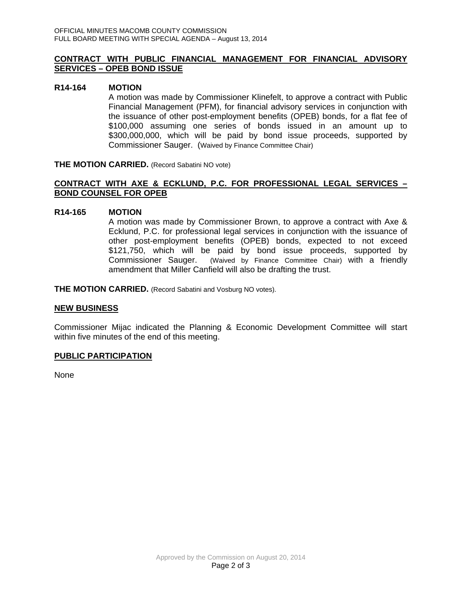### **CONTRACT WITH PUBLIC FINANCIAL MANAGEMENT FOR FINANCIAL ADVISORY SERVICES – OPEB BOND ISSUE**

#### **R14-164 MOTION**

A motion was made by Commissioner Klinefelt, to approve a contract with Public Financial Management (PFM), for financial advisory services in conjunction with the issuance of other post-employment benefits (OPEB) bonds, for a flat fee of \$100,000 assuming one series of bonds issued in an amount up to \$300,000,000, which will be paid by bond issue proceeds, supported by Commissioner Sauger. (Waived by Finance Committee Chair)

**THE MOTION CARRIED.** (Record Sabatini NO vote)

### **CONTRACT WITH AXE & ECKLUND, P.C. FOR PROFESSIONAL LEGAL SERVICES – BOND COUNSEL FOR OPEB**

### **R14-165 MOTION**

A motion was made by Commissioner Brown, to approve a contract with Axe & Ecklund, P.C. for professional legal services in conjunction with the issuance of other post-employment benefits (OPEB) bonds, expected to not exceed \$121,750, which will be paid by bond issue proceeds, supported by Commissioner Sauger. (Waived by Finance Committee Chair) with a friendly amendment that Miller Canfield will also be drafting the trust.

**THE MOTION CARRIED.** (Record Sabatini and Vosburg NO votes).

### **NEW BUSINESS**

Commissioner Mijac indicated the Planning & Economic Development Committee will start within five minutes of the end of this meeting.

### **PUBLIC PARTICIPATION**

None